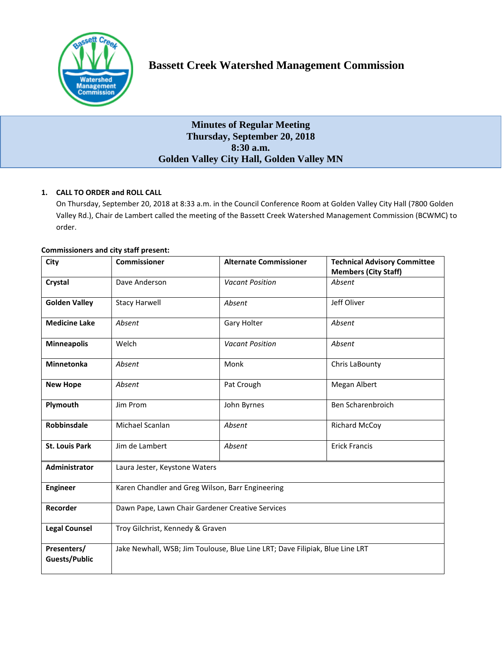

# **Bassett Creek Watershed Management Commission**

# **Minutes of Regular Meeting Thursday, September 20, 2018 8:30 a.m. Golden Valley City Hall, Golden Valley MN**

# **1. CALL TO ORDER and ROLL CALL**

On Thursday, September 20, 2018 at 8:33 a.m. in the Council Conference Room at Golden Valley City Hall (7800 Golden Valley Rd.), Chair de Lambert called the meeting of the Bassett Creek Watershed Management Commission (BCWMC) to order.

| <b>Commissioners and city staff present:</b> |  |  |  |
|----------------------------------------------|--|--|--|
|                                              |  |  |  |

| City                                | <b>Commissioner</b>                                                          | <b>Alternate Commissioner</b> | <b>Technical Advisory Committee</b><br><b>Members (City Staff)</b> |  |  |
|-------------------------------------|------------------------------------------------------------------------------|-------------------------------|--------------------------------------------------------------------|--|--|
| Crystal                             | Dave Anderson                                                                | <b>Vacant Position</b>        | Absent                                                             |  |  |
| <b>Golden Valley</b>                | <b>Stacy Harwell</b>                                                         | Absent                        | Jeff Oliver                                                        |  |  |
| <b>Medicine Lake</b>                | Absent                                                                       | Gary Holter                   | Absent                                                             |  |  |
| <b>Minneapolis</b>                  | Welch                                                                        | <b>Vacant Position</b>        | Absent                                                             |  |  |
| <b>Minnetonka</b>                   | Absent                                                                       | Monk                          | Chris LaBounty                                                     |  |  |
| <b>New Hope</b>                     | Absent                                                                       | Pat Crough                    | Megan Albert                                                       |  |  |
| Plymouth                            | Jim Prom                                                                     | John Byrnes                   | Ben Scharenbroich                                                  |  |  |
| Robbinsdale                         | Michael Scanlan                                                              | Absent                        | <b>Richard McCoy</b>                                               |  |  |
| <b>St. Louis Park</b>               | Jim de Lambert                                                               | Absent                        | <b>Erick Francis</b>                                               |  |  |
| <b>Administrator</b>                | Laura Jester, Keystone Waters                                                |                               |                                                                    |  |  |
| <b>Engineer</b>                     | Karen Chandler and Greg Wilson, Barr Engineering                             |                               |                                                                    |  |  |
| Recorder                            | Dawn Pape, Lawn Chair Gardener Creative Services                             |                               |                                                                    |  |  |
| <b>Legal Counsel</b>                | Troy Gilchrist, Kennedy & Graven                                             |                               |                                                                    |  |  |
| Presenters/<br><b>Guests/Public</b> | Jake Newhall, WSB; Jim Toulouse, Blue Line LRT; Dave Filipiak, Blue Line LRT |                               |                                                                    |  |  |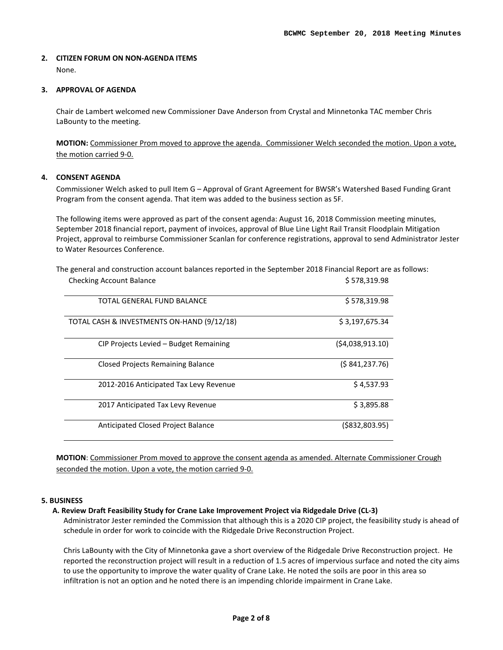#### **2. CITIZEN FORUM ON NON-AGENDA ITEMS**  None.

#### **3. APPROVAL OF AGENDA**

Chair de Lambert welcomed new Commissioner Dave Anderson from Crystal and Minnetonka TAC member Chris LaBounty to the meeting.

**MOTION:** Commissioner Prom moved to approve the agenda. Commissioner Welch seconded the motion. Upon a vote, the motion carried 9-0.

#### **4. CONSENT AGENDA**

Commissioner Welch asked to pull Item G – Approval of Grant Agreement for BWSR's Watershed Based Funding Grant Program from the consent agenda. That item was added to the business section as 5F.

The following items were approved as part of the consent agenda: August 16, 2018 Commission meeting minutes, September 2018 financial report, payment of invoices, approval of Blue Line Light Rail Transit Floodplain Mitigation Project, approval to reimburse Commissioner Scanlan for conference registrations, approval to send Administrator Jester to Water Resources Conference.

| TOTAL GENERAL FUND BALANCE                 | \$578,319.98      |
|--------------------------------------------|-------------------|
| TOTAL CASH & INVESTMENTS ON-HAND (9/12/18) | \$3,197,675.34    |
| CIP Projects Levied - Budget Remaining     | (54,038,913.10)   |
| <b>Closed Projects Remaining Balance</b>   | (S 841, 237.76)   |
| 2012-2016 Anticipated Tax Levy Revenue     | \$4,537.93        |
| 2017 Anticipated Tax Levy Revenue          | \$3,895.88        |
| Anticipated Closed Project Balance         | $($ \$832,803.95) |

The general and construction account balances reported in the September 2018 Financial Report are as follows: Checking Account Balance **\$ 578,319.98** \$ 578,319.98

**MOTION**: Commissioner Prom moved to approve the consent agenda as amended. Alternate Commissioner Crough seconded the motion. Upon a vote, the motion carried 9-0.

#### **5. BUSINESS**

#### **A. Review Draft Feasibility Study for Crane Lake Improvement Project via Ridgedale Drive (CL-3)**

Administrator Jester reminded the Commission that although this is a 2020 CIP project, the feasibility study is ahead of schedule in order for work to coincide with the Ridgedale Drive Reconstruction Project.

Chris LaBounty with the City of Minnetonka gave a short overview of the Ridgedale Drive Reconstruction project. He reported the reconstruction project will result in a reduction of 1.5 acres of impervious surface and noted the city aims to use the opportunity to improve the water quality of Crane Lake. He noted the soils are poor in this area so infiltration is not an option and he noted there is an impending chloride impairment in Crane Lake.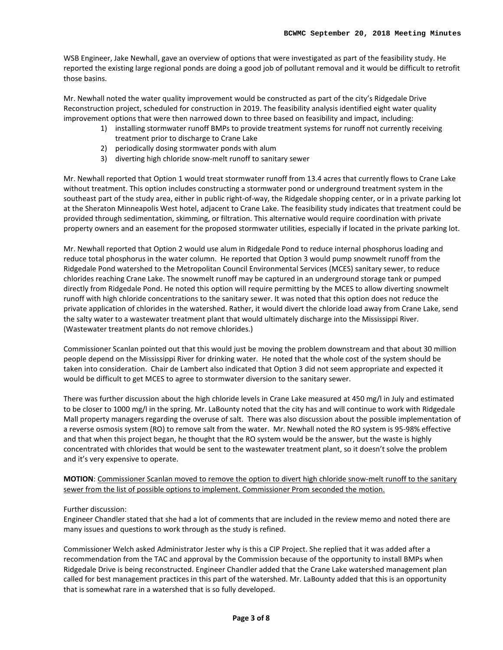WSB Engineer, Jake Newhall, gave an overview of options that were investigated as part of the feasibility study. He reported the existing large regional ponds are doing a good job of pollutant removal and it would be difficult to retrofit those basins.

Mr. Newhall noted the water quality improvement would be constructed as part of the city's Ridgedale Drive Reconstruction project, scheduled for construction in 2019. The feasibility analysis identified eight water quality improvement options that were then narrowed down to three based on feasibility and impact, including:

- 1) installing stormwater runoff BMPs to provide treatment systems for runoff not currently receiving treatment prior to discharge to Crane Lake
- 2) periodically dosing stormwater ponds with alum
- 3) diverting high chloride snow-melt runoff to sanitary sewer

Mr. Newhall reported that Option 1 would treat stormwater runoff from 13.4 acres that currently flows to Crane Lake without treatment. This option includes constructing a stormwater pond or underground treatment system in the southeast part of the study area, either in public right-of-way, the Ridgedale shopping center, or in a private parking lot at the Sheraton Minneapolis West hotel, adjacent to Crane Lake. The feasibility study indicates that treatment could be provided through sedimentation, skimming, or filtration. This alternative would require coordination with private property owners and an easement for the proposed stormwater utilities, especially if located in the private parking lot.

Mr. Newhall reported that Option 2 would use alum in Ridgedale Pond to reduce internal phosphorus loading and reduce total phosphorus in the water column. He reported that Option 3 would pump snowmelt runoff from the Ridgedale Pond watershed to the Metropolitan Council Environmental Services (MCES) sanitary sewer, to reduce chlorides reaching Crane Lake. The snowmelt runoff may be captured in an underground storage tank or pumped directly from Ridgedale Pond. He noted this option will require permitting by the MCES to allow diverting snowmelt runoff with high chloride concentrations to the sanitary sewer. It was noted that this option does not reduce the private application of chlorides in the watershed. Rather, it would divert the chloride load away from Crane Lake, send the salty water to a wastewater treatment plant that would ultimately discharge into the Mississippi River. (Wastewater treatment plants do not remove chlorides.)

Commissioner Scanlan pointed out that this would just be moving the problem downstream and that about 30 million people depend on the Mississippi River for drinking water. He noted that the whole cost of the system should be taken into consideration. Chair de Lambert also indicated that Option 3 did not seem appropriate and expected it would be difficult to get MCES to agree to stormwater diversion to the sanitary sewer.

There was further discussion about the high chloride levels in Crane Lake measured at 450 mg/l in July and estimated to be closer to 1000 mg/l in the spring. Mr. LaBounty noted that the city has and will continue to work with Ridgedale Mall property managers regarding the overuse of salt. There was also discussion about the possible implementation of a reverse osmosis system (RO) to remove salt from the water. Mr. Newhall noted the RO system is 95-98% effective and that when this project began, he thought that the RO system would be the answer, but the waste is highly concentrated with chlorides that would be sent to the wastewater treatment plant, so it doesn't solve the problem and it's very expensive to operate.

**MOTION**: Commissioner Scanlan moved to remove the option to divert high chloride snow-melt runoff to the sanitary sewer from the list of possible options to implement. Commissioner Prom seconded the motion.

#### Further discussion:

Engineer Chandler stated that she had a lot of comments that are included in the review memo and noted there are many issues and questions to work through as the study is refined.

Commissioner Welch asked Administrator Jester why is this a CIP Project. She replied that it was added after a recommendation from the TAC and approval by the Commission because of the opportunity to install BMPs when Ridgedale Drive is being reconstructed. Engineer Chandler added that the Crane Lake watershed management plan called for best management practices in this part of the watershed. Mr. LaBounty added that this is an opportunity that is somewhat rare in a watershed that is so fully developed.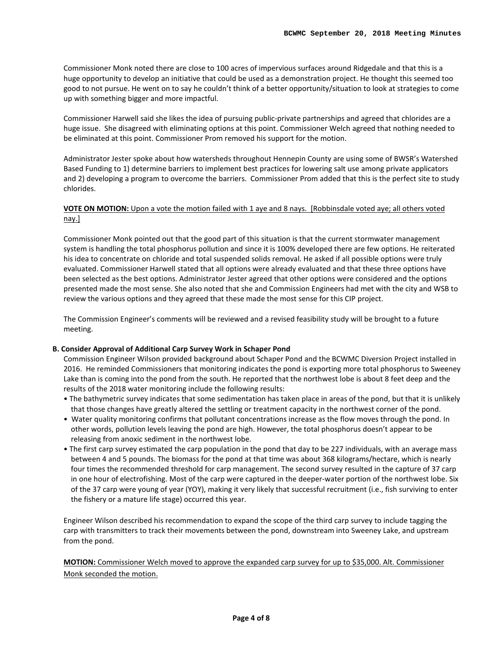Commissioner Monk noted there are close to 100 acres of impervious surfaces around Ridgedale and that this is a huge opportunity to develop an initiative that could be used as a demonstration project. He thought this seemed too good to not pursue. He went on to say he couldn't think of a better opportunity/situation to look at strategies to come up with something bigger and more impactful.

Commissioner Harwell said she likes the idea of pursuing public-private partnerships and agreed that chlorides are a huge issue. She disagreed with eliminating options at this point. Commissioner Welch agreed that nothing needed to be eliminated at this point. Commissioner Prom removed his support for the motion.

Administrator Jester spoke about how watersheds throughout Hennepin County are using some of BWSR's Watershed Based Funding to 1) determine barriers to implement best practices for lowering salt use among private applicators and 2) developing a program to overcome the barriers. Commissioner Prom added that this is the perfect site to study chlorides.

### **VOTE ON MOTION:** Upon a vote the motion failed with 1 aye and 8 nays. [Robbinsdale voted aye; all others voted nay.]

Commissioner Monk pointed out that the good part of this situation is that the current stormwater management system is handling the total phosphorus pollution and since it is 100% developed there are few options. He reiterated his idea to concentrate on chloride and total suspended solids removal. He asked if all possible options were truly evaluated. Commissioner Harwell stated that all options were already evaluated and that these three options have been selected as the best options. Administrator Jester agreed that other options were considered and the options presented made the most sense. She also noted that she and Commission Engineers had met with the city and WSB to review the various options and they agreed that these made the most sense for this CIP project.

The Commission Engineer's comments will be reviewed and a revised feasibility study will be brought to a future meeting.

#### **B. Consider Approval of Additional Carp Survey Work in Schaper Pond**

Commission Engineer Wilson provided background about Schaper Pond and the BCWMC Diversion Project installed in 2016. He reminded Commissioners that monitoring indicates the pond is exporting more total phosphorus to Sweeney Lake than is coming into the pond from the south. He reported that the northwest lobe is about 8 feet deep and the results of the 2018 water monitoring include the following results:

- The bathymetric survey indicates that some sedimentation has taken place in areas of the pond, but that it is unlikely that those changes have greatly altered the settling or treatment capacity in the northwest corner of the pond.
- Water quality monitoring confirms that pollutant concentrations increase as the flow moves through the pond. In other words, pollution levels leaving the pond are high. However, the total phosphorus doesn't appear to be releasing from anoxic sediment in the northwest lobe.
- The first carp survey estimated the carp population in the pond that day to be 227 individuals, with an average mass between 4 and 5 pounds. The biomass for the pond at that time was about 368 kilograms/hectare, which is nearly four times the recommended threshold for carp management. The second survey resulted in the capture of 37 carp in one hour of electrofishing. Most of the carp were captured in the deeper-water portion of the northwest lobe. Six of the 37 carp were young of year (YOY), making it very likely that successful recruitment (i.e., fish surviving to enter the fishery or a mature life stage) occurred this year.

Engineer Wilson described his recommendation to expand the scope of the third carp survey to include tagging the carp with transmitters to track their movements between the pond, downstream into Sweeney Lake, and upstream from the pond.

**MOTION:** Commissioner Welch moved to approve the expanded carp survey for up to \$35,000. Alt. Commissioner Monk seconded the motion.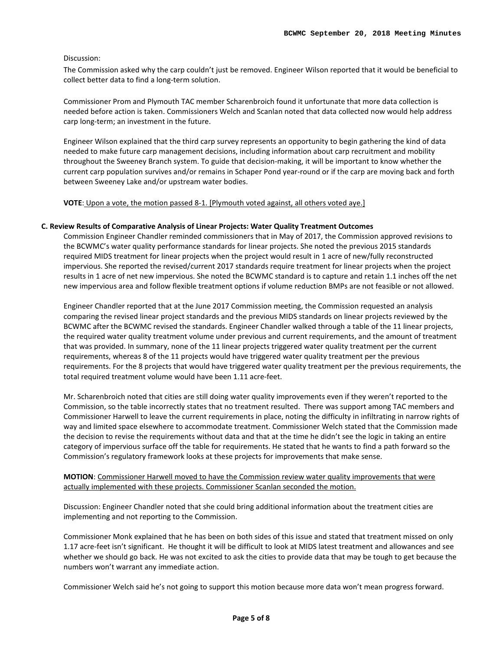#### Discussion:

The Commission asked why the carp couldn't just be removed. Engineer Wilson reported that it would be beneficial to collect better data to find a long-term solution.

Commissioner Prom and Plymouth TAC member Scharenbroich found it unfortunate that more data collection is needed before action is taken. Commissioners Welch and Scanlan noted that data collected now would help address carp long-term; an investment in the future.

Engineer Wilson explained that the third carp survey represents an opportunity to begin gathering the kind of data needed to make future carp management decisions, including information about carp recruitment and mobility throughout the Sweeney Branch system. To guide that decision-making, it will be important to know whether the current carp population survives and/or remains in Schaper Pond year-round or if the carp are moving back and forth between Sweeney Lake and/or upstream water bodies.

#### **VOTE**: Upon a vote, the motion passed 8-1. [Plymouth voted against, all others voted aye.]

#### **C. Review Results of Comparative Analysis of Linear Projects: Water Quality Treatment Outcomes**

Commission Engineer Chandler reminded commissioners that in May of 2017, the Commission approved revisions to the BCWMC's water quality performance standards for linear projects. She noted the previous 2015 standards required MIDS treatment for linear projects when the project would result in 1 acre of new/fully reconstructed impervious. She reported the revised/current 2017 standards require treatment for linear projects when the project results in 1 acre of net new impervious. She noted the BCWMC standard is to capture and retain 1.1 inches off the net new impervious area and follow flexible treatment options if volume reduction BMPs are not feasible or not allowed.

Engineer Chandler reported that at the June 2017 Commission meeting, the Commission requested an analysis comparing the revised linear project standards and the previous MIDS standards on linear projects reviewed by the BCWMC after the BCWMC revised the standards. Engineer Chandler walked through a table of the 11 linear projects, the required water quality treatment volume under previous and current requirements, and the amount of treatment that was provided. In summary, none of the 11 linear projects triggered water quality treatment per the current requirements, whereas 8 of the 11 projects would have triggered water quality treatment per the previous requirements. For the 8 projects that would have triggered water quality treatment per the previous requirements, the total required treatment volume would have been 1.11 acre-feet.

Mr. Scharenbroich noted that cities are still doing water quality improvements even if they weren't reported to the Commission, so the table incorrectly states that no treatment resulted. There was support among TAC members and Commissioner Harwell to leave the current requirements in place, noting the difficulty in infiltrating in narrow rights of way and limited space elsewhere to accommodate treatment. Commissioner Welch stated that the Commission made the decision to revise the requirements without data and that at the time he didn't see the logic in taking an entire category of impervious surface off the table for requirements. He stated that he wants to find a path forward so the Commission's regulatory framework looks at these projects for improvements that make sense.

#### **MOTION**: Commissioner Harwell moved to have the Commission review water quality improvements that were actually implemented with these projects. Commissioner Scanlan seconded the motion.

Discussion: Engineer Chandler noted that she could bring additional information about the treatment cities are implementing and not reporting to the Commission.

Commissioner Monk explained that he has been on both sides of this issue and stated that treatment missed on only 1.17 acre-feet isn't significant. He thought it will be difficult to look at MIDS latest treatment and allowances and see whether we should go back. He was not excited to ask the cities to provide data that may be tough to get because the numbers won't warrant any immediate action.

Commissioner Welch said he's not going to support this motion because more data won't mean progress forward.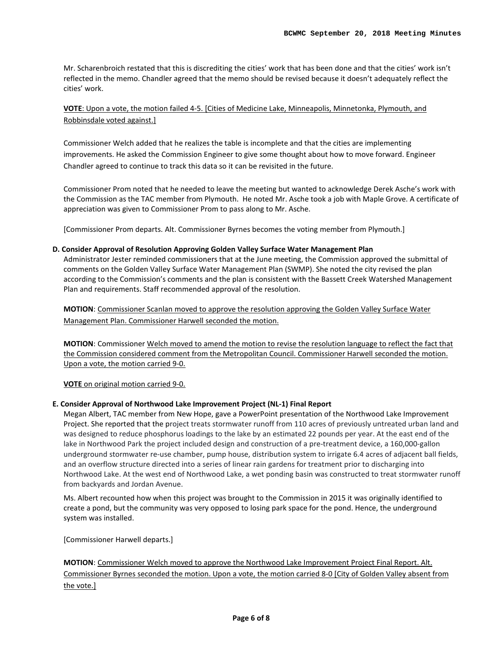Mr. Scharenbroich restated that this is discrediting the cities' work that has been done and that the cities' work isn't reflected in the memo. Chandler agreed that the memo should be revised because it doesn't adequately reflect the cities' work.

# **VOTE**: Upon a vote, the motion failed 4-5. [Cities of Medicine Lake, Minneapolis, Minnetonka, Plymouth, and Robbinsdale voted against.]

Commissioner Welch added that he realizes the table is incomplete and that the cities are implementing improvements. He asked the Commission Engineer to give some thought about how to move forward. Engineer Chandler agreed to continue to track this data so it can be revisited in the future.

Commissioner Prom noted that he needed to leave the meeting but wanted to acknowledge Derek Asche's work with the Commission as the TAC member from Plymouth. He noted Mr. Asche took a job with Maple Grove. A certificate of appreciation was given to Commissioner Prom to pass along to Mr. Asche.

[Commissioner Prom departs. Alt. Commissioner Byrnes becomes the voting member from Plymouth.]

#### **D. Consider Approval of Resolution Approving Golden Valley Surface Water Management Plan**

Administrator Jester reminded commissioners that at the June meeting, the Commission approved the submittal of comments on the Golden Valley Surface Water Management Plan (SWMP). She noted the city revised the plan according to the Commission's comments and the plan is consistent with the Bassett Creek Watershed Management Plan and requirements. Staff recommended approval of the resolution.

**MOTION**: Commissioner Scanlan moved to approve the resolution approving the Golden Valley Surface Water Management Plan. Commissioner Harwell seconded the motion.

**MOTION**: Commissioner Welch moved to amend the motion to revise the resolution language to reflect the fact that the Commission considered comment from the Metropolitan Council. Commissioner Harwell seconded the motion. Upon a vote, the motion carried 9-0.

**VOTE** on original motion carried 9-0.

#### **E. Consider Approval of Northwood Lake Improvement Project (NL-1) Final Report**

Megan Albert, TAC member from New Hope, gave a PowerPoint presentation of the Northwood Lake Improvement Project. She reported that the project treats stormwater runoff from 110 acres of previously untreated urban land and was designed to reduce phosphorus loadings to the lake by an estimated 22 pounds per year. At the east end of the lake in Northwood Park the project included design and construction of a pre-treatment device, a 160,000-gallon underground stormwater re-use chamber, pump house, distribution system to irrigate 6.4 acres of adjacent ball fields, and an overflow structure directed into a series of linear rain gardens for treatment prior to discharging into Northwood Lake. At the west end of Northwood Lake, a wet ponding basin was constructed to treat stormwater runoff from backyards and Jordan Avenue.

Ms. Albert recounted how when this project was brought to the Commission in 2015 it was originally identified to create a pond, but the community was very opposed to losing park space for the pond. Hence, the underground system was installed.

[Commissioner Harwell departs.]

**MOTION**: Commissioner Welch moved to approve the Northwood Lake Improvement Project Final Report. Alt. Commissioner Byrnes seconded the motion. Upon a vote, the motion carried 8-0 [City of Golden Valley absent from the vote.]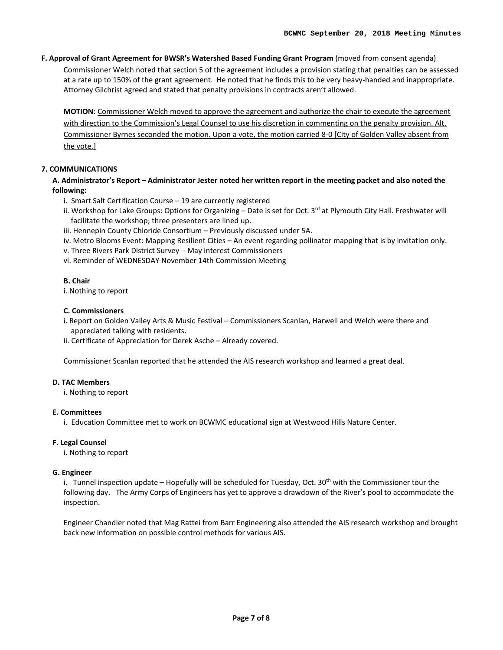**F. Approval of Grant Agreement for BWSR's Watershed Based Funding Grant Program** (moved from consent agenda)

Commissioner Welch noted that section 5 of the agreement includes a provision stating that penalties can be assessed at a rate up to 150% of the grant agreement. He noted that he finds this to be very heavy-handed and inappropriate. Attorney Gilchrist agreed and stated that penalty provisions in contracts aren't allowed.

**MOTION**: Commissioner Welch moved to approve the agreement and authorize the chair to execute the agreement with direction to the Commission's Legal Counsel to use his discretion in commenting on the penalty provision. Alt. Commissioner Byrnes seconded the motion. Upon a vote, the motion carried 8-0 [City of Golden Valley absent from the vote.]

## **7. COMMUNICATIONS**

**A. Administrator's Report – Administrator Jester noted her written report in the meeting packet and also noted the following:** 

- i. Smart Salt Certification Course 19 are currently registered
- ii. Workshop for Lake Groups: Options for Organizing Date is set for Oct. 3<sup>rd</sup> at Plymouth City Hall. Freshwater will facilitate the workshop; three presenters are lined up.
- iii. Hennepin County Chloride Consortium Previously discussed under 5A.
- iv. Metro Blooms Event: Mapping Resilient Cities An event regarding pollinator mapping that is by invitation only.
- v. Three Rivers Park District Survey May interest Commissioners
- vi. Reminder of WEDNESDAY November 14th Commission Meeting

#### **B. Chair**

i. Nothing to report

#### **C. Commissioners**

- i. Report on Golden Valley Arts & Music Festival Commissioners Scanlan, Harwell and Welch were there and appreciated talking with residents.
- ii. Certificate of Appreciation for Derek Asche Already covered.

Commissioner Scanlan reported that he attended the AIS research workshop and learned a great deal.

#### **D. TAC Members**

i. Nothing to report

#### **E. Committees**

i. Education Committee met to work on BCWMC educational sign at Westwood Hills Nature Center.

### **F. Legal Counsel**

i. Nothing to report

#### **G. Engineer**

i. Tunnel inspection update – Hopefully will be scheduled for Tuesday, Oct. 30<sup>th</sup> with the Commissioner tour the following day. The Army Corps of Engineers has yet to approve a drawdown of the River's pool to accommodate the inspection.

Engineer Chandler noted that Mag Rattei from Barr Engineering also attended the AIS research workshop and brought back new information on possible control methods for various AIS.